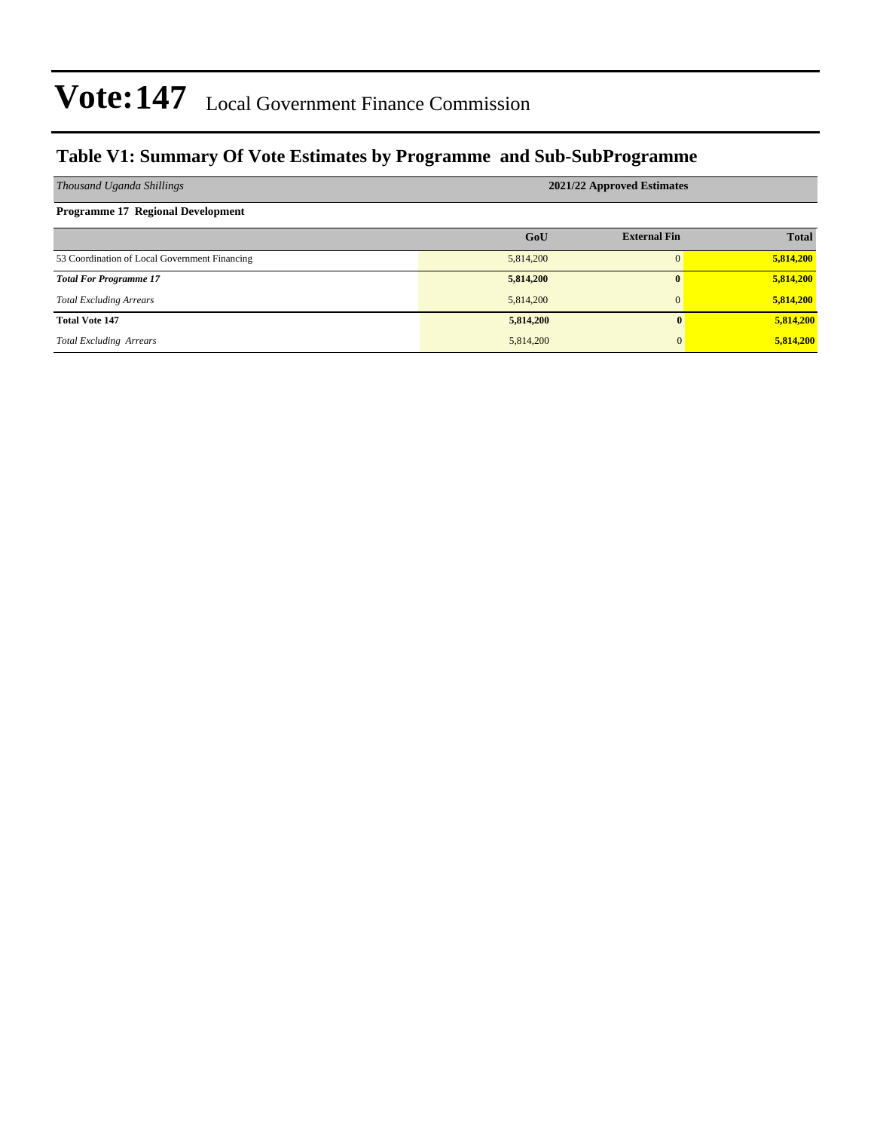### **Table V1: Summary Of Vote Estimates by Programme and Sub-SubProgramme**

| Thousand Uganda Shillings                     | 2021/22 Approved Estimates |                     |              |  |  |  |  |
|-----------------------------------------------|----------------------------|---------------------|--------------|--|--|--|--|
| <b>Programme 17 Regional Development</b>      |                            |                     |              |  |  |  |  |
|                                               | GoU                        | <b>External Fin</b> | <b>Total</b> |  |  |  |  |
| 53 Coordination of Local Government Financing | 5,814,200                  |                     | 5,814,200    |  |  |  |  |
| <b>Total For Programme 17</b>                 | 5,814,200                  |                     | 5,814,200    |  |  |  |  |
| <b>Total Excluding Arrears</b>                | 5,814,200                  | $\Omega$            | 5,814,200    |  |  |  |  |
| <b>Total Vote 147</b>                         | 5,814,200                  | $\mathbf{0}$        | 5,814,200    |  |  |  |  |
| <b>Total Excluding Arrears</b>                | 5,814,200                  | $\mathbf{0}$        | 5,814,200    |  |  |  |  |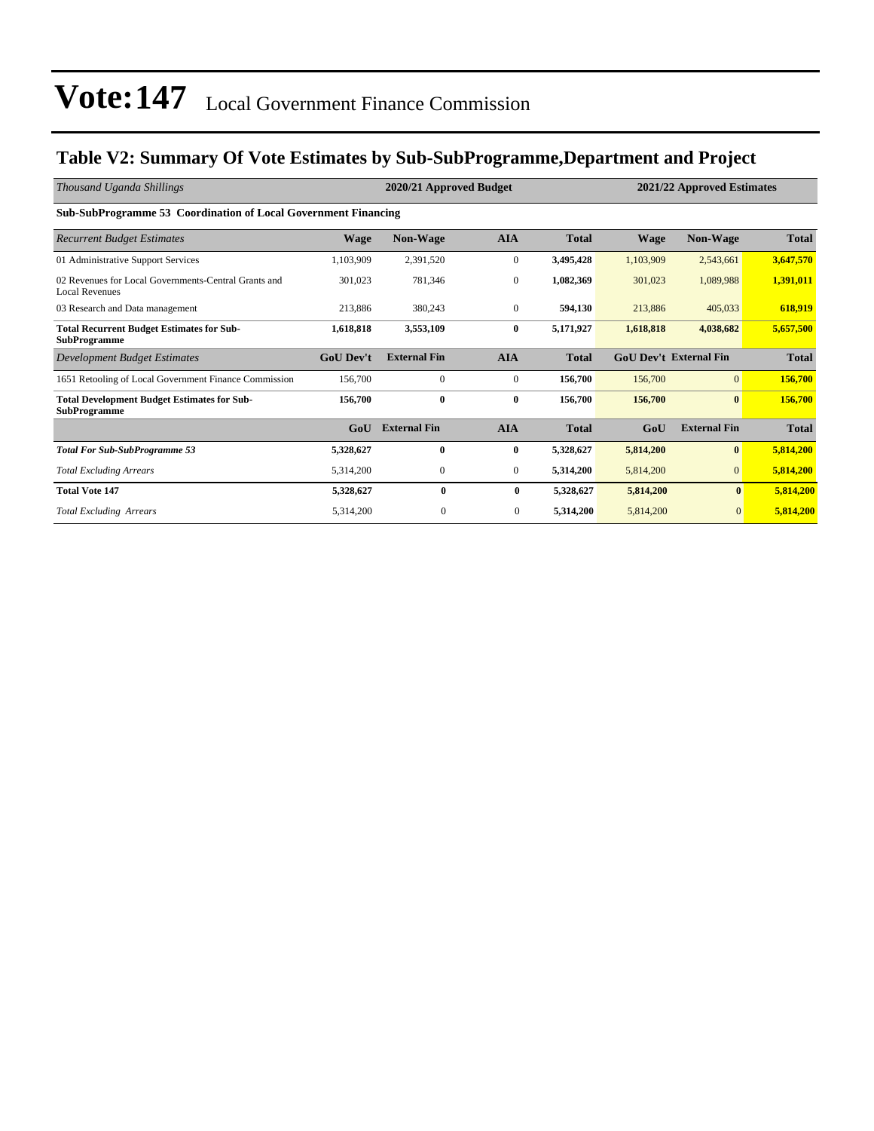### **Table V2: Summary Of Vote Estimates by Sub-SubProgramme,Department and Project**

| Thousand Uganda Shillings                                                     | 2020/21 Approved Budget |                     |                |              |             | 2021/22 Approved Estimates    |              |  |
|-------------------------------------------------------------------------------|-------------------------|---------------------|----------------|--------------|-------------|-------------------------------|--------------|--|
| Sub-SubProgramme 53 Coordination of Local Government Financing                |                         |                     |                |              |             |                               |              |  |
| <b>Recurrent Budget Estimates</b>                                             | <b>Wage</b>             | <b>Non-Wage</b>     | <b>AIA</b>     | <b>Total</b> | <b>Wage</b> | Non-Wage                      | <b>Total</b> |  |
| 01 Administrative Support Services                                            | 1,103,909               | 2,391,520           | $\overline{0}$ | 3,495,428    | 1,103,909   | 2,543,661                     | 3,647,570    |  |
| 02 Revenues for Local Governments-Central Grants and<br><b>Local Revenues</b> | 301,023                 | 781,346             | $\mathbf{0}$   | 1,082,369    | 301,023     | 1,089,988                     | 1,391,011    |  |
| 03 Research and Data management                                               | 213,886                 | 380,243             | $\overline{0}$ | 594,130      | 213,886     | 405,033                       | 618,919      |  |
| <b>Total Recurrent Budget Estimates for Sub-</b><br><b>SubProgramme</b>       | 1,618,818               | 3,553,109           | $\bf{0}$       | 5,171,927    | 1,618,818   | 4,038,682                     | 5,657,500    |  |
| Development Budget Estimates                                                  | <b>GoU Dev't</b>        | <b>External Fin</b> | <b>AIA</b>     | <b>Total</b> |             | <b>GoU Dev't External Fin</b> | <b>Total</b> |  |
| 1651 Retooling of Local Government Finance Commission                         | 156,700                 | $\mathbf{0}$        | $\overline{0}$ | 156,700      | 156,700     | $\mathbf{0}$                  | 156,700      |  |
| <b>Total Development Budget Estimates for Sub-</b><br><b>SubProgramme</b>     | 156,700                 | $\bf{0}$            | 0              | 156,700      | 156,700     | $\bf{0}$                      | 156,700      |  |
|                                                                               | GoU                     | <b>External Fin</b> | <b>AIA</b>     | <b>Total</b> | GoU         | <b>External Fin</b>           | <b>Total</b> |  |
| <b>Total For Sub-SubProgramme 53</b>                                          | 5,328,627               | $\bf{0}$            | 0              | 5,328,627    | 5,814,200   | $\mathbf{0}$                  | 5,814,200    |  |
| <b>Total Excluding Arrears</b>                                                | 5,314,200               | $\mathbf{0}$        | $\overline{0}$ | 5,314,200    | 5,814,200   | $\mathbf{0}$                  | 5,814,200    |  |
| <b>Total Vote 147</b>                                                         | 5,328,627               | $\mathbf{0}$        | $\bf{0}$       | 5,328,627    | 5,814,200   | $\mathbf{0}$                  | 5,814,200    |  |
| <b>Total Excluding Arrears</b>                                                | 5,314,200               | $\mathbf{0}$        | $\bf{0}$       | 5,314,200    | 5,814,200   | $\mathbf{0}$                  | 5,814,200    |  |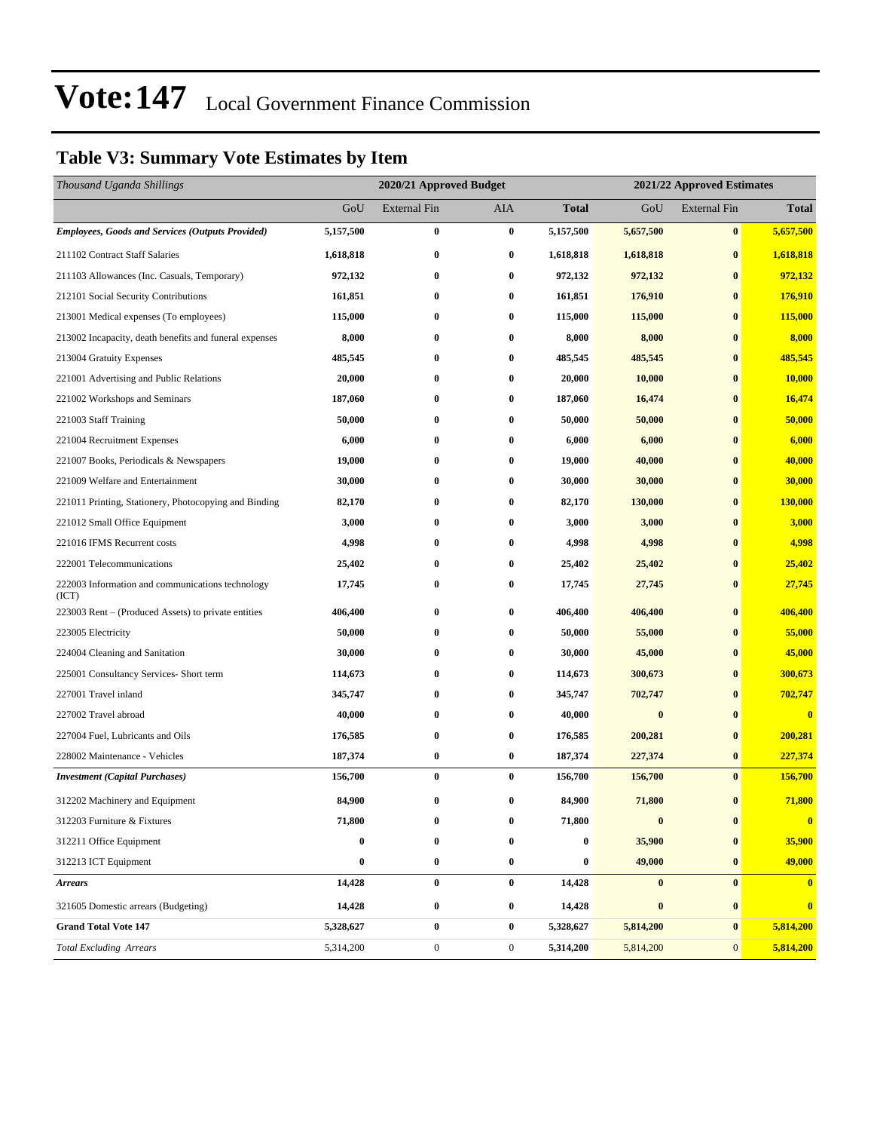### **Table V3: Summary Vote Estimates by Item**

| Thousand Uganda Shillings                                 |           | 2020/21 Approved Budget |                  |                  | 2021/22 Approved Estimates |                     |              |  |
|-----------------------------------------------------------|-----------|-------------------------|------------------|------------------|----------------------------|---------------------|--------------|--|
|                                                           | GoU       | <b>External Fin</b>     | AIA              | <b>Total</b>     | GoU                        | <b>External Fin</b> | <b>Total</b> |  |
| <b>Employees, Goods and Services (Outputs Provided)</b>   | 5,157,500 | $\bf{0}$                | $\bf{0}$         | 5,157,500        | 5,657,500                  | $\bf{0}$            | 5,657,500    |  |
| 211102 Contract Staff Salaries                            | 1,618,818 | $\bf{0}$                | $\bf{0}$         | 1,618,818        | 1,618,818                  | $\bf{0}$            | 1,618,818    |  |
| 211103 Allowances (Inc. Casuals, Temporary)               | 972,132   | 0                       | $\bf{0}$         | 972,132          | 972,132                    | $\bf{0}$            | 972,132      |  |
| 212101 Social Security Contributions                      | 161,851   | 0                       | $\bf{0}$         | 161,851          | 176,910                    | $\bf{0}$            | 176,910      |  |
| 213001 Medical expenses (To employees)                    | 115,000   | 0                       | $\bf{0}$         | 115,000          | 115,000                    | $\bf{0}$            | 115,000      |  |
| 213002 Incapacity, death benefits and funeral expenses    | 8,000     | $\bf{0}$                | $\bf{0}$         | 8,000            | 8,000                      | $\bf{0}$            | 8,000        |  |
| 213004 Gratuity Expenses                                  | 485,545   | $\bf{0}$                | $\bf{0}$         | 485,545          | 485,545                    | $\bf{0}$            | 485,545      |  |
| 221001 Advertising and Public Relations                   | 20,000    | 0                       | $\bf{0}$         | 20,000           | 10,000                     | $\bf{0}$            | 10,000       |  |
| 221002 Workshops and Seminars                             | 187,060   | 0                       | $\bf{0}$         | 187,060          | 16,474                     | $\bf{0}$            | 16,474       |  |
| 221003 Staff Training                                     | 50,000    | 0                       | $\bf{0}$         | 50,000           | 50,000                     | $\bf{0}$            | 50,000       |  |
| 221004 Recruitment Expenses                               | 6,000     | $\bf{0}$                | $\bf{0}$         | 6,000            | 6,000                      | $\bf{0}$            | 6,000        |  |
| 221007 Books, Periodicals & Newspapers                    | 19,000    | $\bf{0}$                | $\bf{0}$         | 19,000           | 40,000                     | $\bf{0}$            | 40,000       |  |
| 221009 Welfare and Entertainment                          | 30,000    | 0                       | $\bf{0}$         | 30,000           | 30,000                     | $\bf{0}$            | 30,000       |  |
| 221011 Printing, Stationery, Photocopying and Binding     | 82,170    | 0                       | $\bf{0}$         | 82,170           | 130,000                    | $\bf{0}$            | 130,000      |  |
| 221012 Small Office Equipment                             | 3,000     | 0                       | $\bf{0}$         | 3,000            | 3,000                      | $\bf{0}$            | 3,000        |  |
| 221016 IFMS Recurrent costs                               | 4,998     | $\bf{0}$                | $\bf{0}$         | 4,998            | 4,998                      | $\bf{0}$            | 4,998        |  |
| 222001 Telecommunications                                 | 25,402    | $\bf{0}$                | $\bf{0}$         | 25,402           | 25,402                     | $\bf{0}$            | 25,402       |  |
| 222003 Information and communications technology<br>(ICT) | 17,745    | 0                       | $\bf{0}$         | 17,745           | 27,745                     | $\bf{0}$            | 27,745       |  |
| 223003 Rent – (Produced Assets) to private entities       | 406,400   | $\bf{0}$                | $\bf{0}$         | 406,400          | 406,400                    | $\bf{0}$            | 406,400      |  |
| 223005 Electricity                                        | 50,000    | $\bf{0}$                | $\bf{0}$         | 50,000           | 55,000                     | $\bf{0}$            | 55,000       |  |
| 224004 Cleaning and Sanitation                            | 30,000    | 0                       | $\bf{0}$         | 30,000           | 45,000                     | $\bf{0}$            | 45,000       |  |
| 225001 Consultancy Services- Short term                   | 114,673   | 0                       | $\bf{0}$         | 114,673          | 300,673                    | $\bf{0}$            | 300,673      |  |
| 227001 Travel inland                                      | 345,747   | $\bf{0}$                | $\bf{0}$         | 345,747          | 702,747                    | $\bf{0}$            | 702,747      |  |
| 227002 Travel abroad                                      | 40,000    | 0                       | $\bf{0}$         | 40,000           | $\bf{0}$                   | $\bf{0}$            | $\bf{0}$     |  |
| 227004 Fuel, Lubricants and Oils                          | 176,585   | $\bf{0}$                | $\bf{0}$         | 176,585          | 200,281                    | $\bf{0}$            | 200,281      |  |
| 228002 Maintenance - Vehicles                             | 187,374   | $\bf{0}$                | $\bf{0}$         | 187,374          | 227,374                    | $\bf{0}$            | 227,374      |  |
| <b>Investment</b> (Capital Purchases)                     | 156,700   | $\bf{0}$                | $\bf{0}$         | 156,700          | 156,700                    | $\bf{0}$            | 156,700      |  |
| 312202 Machinery and Equipment                            | 84,900    | $\bf{0}$                | $\bf{0}$         | 84,900           | 71,800                     | $\bf{0}$            | 71,800       |  |
| 312203 Furniture & Fixtures                               | 71,800    | $\bf{0}$                | $\bf{0}$         | 71,800           | $\bf{0}$                   | $\bf{0}$            | $\bf{0}$     |  |
| 312211 Office Equipment                                   | $\bf{0}$  | $\bf{0}$                | $\bf{0}$         | $\bf{0}$         | 35,900                     | $\bf{0}$            | 35,900       |  |
| 312213 ICT Equipment                                      | $\bf{0}$  | $\bf{0}$                | $\bf{0}$         | $\boldsymbol{0}$ | 49,000                     | $\bf{0}$            | 49,000       |  |
| <b>Arrears</b>                                            | 14,428    | $\pmb{0}$               | $\bf{0}$         | 14,428           | $\bf{0}$                   | $\bf{0}$            | $\bf{0}$     |  |
| 321605 Domestic arrears (Budgeting)                       | 14,428    | $\bf{0}$                | $\bf{0}$         | 14,428           | $\bf{0}$                   | $\bf{0}$            | $\bf{0}$     |  |
| <b>Grand Total Vote 147</b>                               | 5,328,627 | $\pmb{0}$               | $\bf{0}$         | 5,328,627        | 5,814,200                  | $\bf{0}$            | 5,814,200    |  |
| <b>Total Excluding Arrears</b>                            | 5,314,200 | $\boldsymbol{0}$        | $\boldsymbol{0}$ | 5,314,200        | 5,814,200                  | $\mathbf{0}$        | 5,814,200    |  |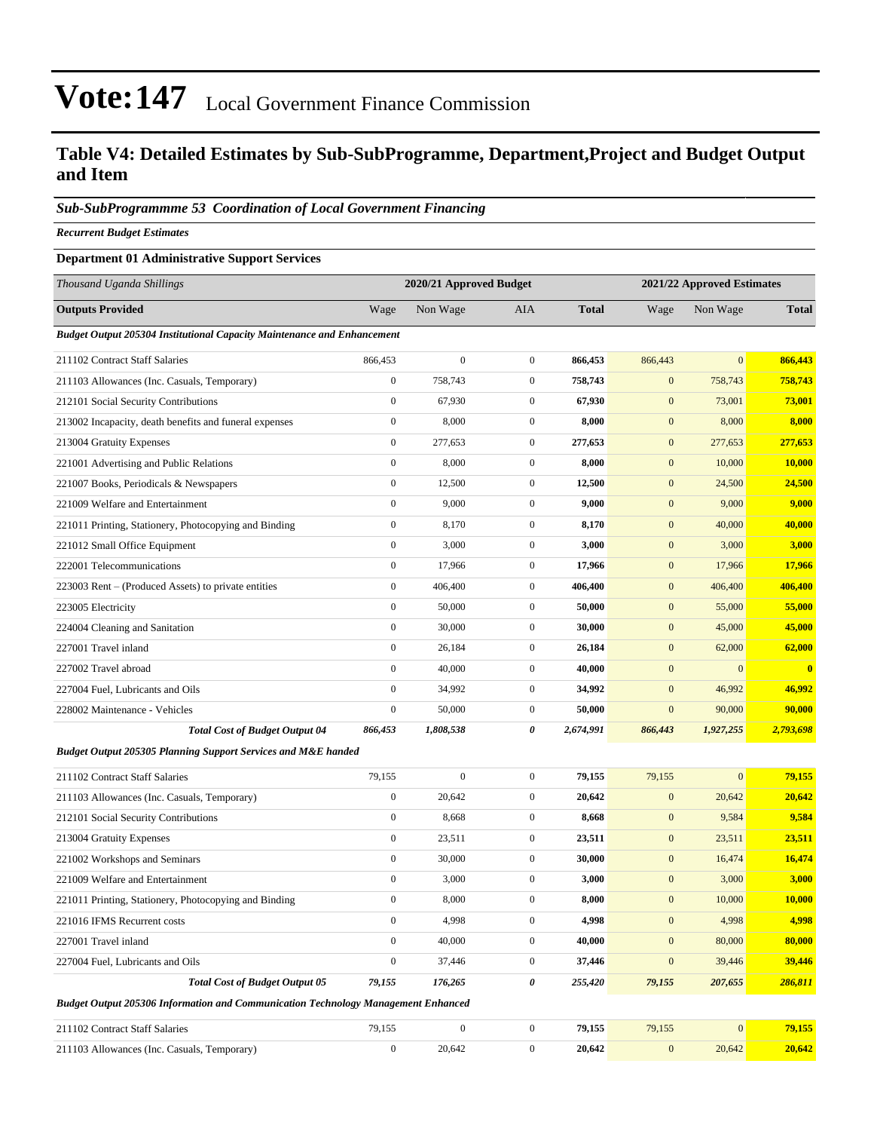#### **Table V4: Detailed Estimates by Sub-SubProgramme, Department,Project and Budget Output and Item**

#### *Sub-SubProgrammme 53 Coordination of Local Government Financing*

*Recurrent Budget Estimates*

#### **Department 01 Administrative Support Services**

| Thousand Uganda Shillings                                                         | 2020/21 Approved Budget |                  |                  |              | 2021/22 Approved Estimates |                |               |
|-----------------------------------------------------------------------------------|-------------------------|------------------|------------------|--------------|----------------------------|----------------|---------------|
| <b>Outputs Provided</b>                                                           | Wage                    | Non Wage         | AIA              | <b>Total</b> | Wage                       | Non Wage       | <b>Total</b>  |
| <b>Budget Output 205304 Institutional Capacity Maintenance and Enhancement</b>    |                         |                  |                  |              |                            |                |               |
| 211102 Contract Staff Salaries                                                    | 866,453                 | $\boldsymbol{0}$ | $\overline{0}$   | 866,453      | 866,443                    | $\overline{0}$ | 866,443       |
| 211103 Allowances (Inc. Casuals, Temporary)                                       | $\boldsymbol{0}$        | 758,743          | $\overline{0}$   | 758,743      | $\mathbf{0}$               | 758,743        | 758,743       |
| 212101 Social Security Contributions                                              | $\boldsymbol{0}$        | 67,930           | $\mathbf{0}$     | 67,930       | $\mathbf{0}$               | 73,001         | 73,001        |
| 213002 Incapacity, death benefits and funeral expenses                            | $\mathbf{0}$            | 8,000            | $\mathbf{0}$     | 8,000        | $\mathbf{0}$               | 8,000          | 8,000         |
| 213004 Gratuity Expenses                                                          | $\mathbf{0}$            | 277,653          | $\mathbf{0}$     | 277,653      | $\mathbf{0}$               | 277,653        | 277,653       |
| 221001 Advertising and Public Relations                                           | $\mathbf{0}$            | 8,000            | $\mathbf{0}$     | 8,000        | $\mathbf{0}$               | 10,000         | <b>10,000</b> |
| 221007 Books, Periodicals & Newspapers                                            | $\boldsymbol{0}$        | 12,500           | $\mathbf{0}$     | 12,500       | $\mathbf{0}$               | 24,500         | 24,500        |
| 221009 Welfare and Entertainment                                                  | $\mathbf{0}$            | 9,000            | $\mathbf{0}$     | 9,000        | $\mathbf{0}$               | 9,000          | 9,000         |
| 221011 Printing, Stationery, Photocopying and Binding                             | $\mathbf{0}$            | 8,170            | $\mathbf{0}$     | 8,170        | $\mathbf{0}$               | 40,000         | 40,000        |
| 221012 Small Office Equipment                                                     | $\mathbf{0}$            | 3,000            | $\boldsymbol{0}$ | 3,000        | $\mathbf{0}$               | 3,000          | 3,000         |
| 222001 Telecommunications                                                         | $\mathbf{0}$            | 17,966           | $\mathbf{0}$     | 17,966       | $\boldsymbol{0}$           | 17,966         | 17,966        |
| 223003 Rent – (Produced Assets) to private entities                               | $\boldsymbol{0}$        | 406,400          | $\overline{0}$   | 406,400      | $\mathbf{0}$               | 406,400        | 406,400       |
| 223005 Electricity                                                                | $\mathbf{0}$            | 50,000           | $\mathbf{0}$     | 50,000       | $\mathbf{0}$               | 55,000         | 55,000        |
| 224004 Cleaning and Sanitation                                                    | $\boldsymbol{0}$        | 30,000           | $\mathbf{0}$     | 30,000       | $\mathbf{0}$               | 45,000         | 45,000        |
| 227001 Travel inland                                                              | $\mathbf{0}$            | 26,184           | $\mathbf{0}$     | 26,184       | $\mathbf{0}$               | 62,000         | 62,000        |
| 227002 Travel abroad                                                              | $\boldsymbol{0}$        | 40,000           | $\mathbf{0}$     | 40,000       | $\mathbf{0}$               | $\overline{0}$ | $\bf{0}$      |
| 227004 Fuel, Lubricants and Oils                                                  | $\mathbf{0}$            | 34,992           | $\overline{0}$   | 34,992       | $\mathbf{0}$               | 46,992         | 46,992        |
| 228002 Maintenance - Vehicles                                                     | $\boldsymbol{0}$        | 50,000           | $\mathbf{0}$     | 50,000       | $\boldsymbol{0}$           | 90,000         | 90,000        |
| <b>Total Cost of Budget Output 04</b>                                             | 866,453                 | 1,808,538        | 0                | 2,674,991    | 866,443                    | 1,927,255      | 2,793,698     |
| <b>Budget Output 205305 Planning Support Services and M&amp;E handed</b>          |                         |                  |                  |              |                            |                |               |
| 211102 Contract Staff Salaries                                                    | 79,155                  | $\boldsymbol{0}$ | $\overline{0}$   | 79,155       | 79,155                     | $\overline{0}$ | 79,155        |
| 211103 Allowances (Inc. Casuals, Temporary)                                       | $\boldsymbol{0}$        | 20,642           | $\mathbf{0}$     | 20,642       | $\mathbf{0}$               | 20,642         | 20,642        |
| 212101 Social Security Contributions                                              | $\boldsymbol{0}$        | 8,668            | $\overline{0}$   | 8,668        | $\mathbf{0}$               | 9,584          | 9,584         |
| 213004 Gratuity Expenses                                                          | $\boldsymbol{0}$        | 23,511           | $\mathbf{0}$     | 23,511       | $\mathbf{0}$               | 23,511         | 23,511        |
| 221002 Workshops and Seminars                                                     | $\boldsymbol{0}$        | 30,000           | $\mathbf{0}$     | 30,000       | $\mathbf{0}$               | 16,474         | 16,474        |
| 221009 Welfare and Entertainment                                                  | $\boldsymbol{0}$        | 3,000            | $\mathbf{0}$     | 3,000        | $\mathbf{0}$               | 3,000          | 3,000         |
| 221011 Printing, Stationery, Photocopying and Binding                             | $\boldsymbol{0}$        | 8,000            | $\overline{0}$   | 8,000        | $\boldsymbol{0}$           | 10,000         | 10,000        |
| 221016 IFMS Recurrent costs                                                       | $\boldsymbol{0}$        | 4,998            | $\boldsymbol{0}$ | 4,998        | $\boldsymbol{0}$           | 4,998          | 4,998         |
| 227001 Travel inland                                                              | $\boldsymbol{0}$        | 40,000           | $\overline{0}$   | 40,000       | $\mathbf{0}$               | 80,000         | 80,000        |
| 227004 Fuel, Lubricants and Oils                                                  | $\boldsymbol{0}$        | 37,446           | $\boldsymbol{0}$ | 37,446       | $\boldsymbol{0}$           | 39,446         | 39,446        |
| <b>Total Cost of Budget Output 05</b>                                             | 79,155                  | 176,265          | 0                | 255,420      | 79,155                     | 207,655        | 286,811       |
| Budget Output 205306 Information and Communication Technology Management Enhanced |                         |                  |                  |              |                            |                |               |
| 211102 Contract Staff Salaries                                                    | 79,155                  | $\boldsymbol{0}$ | $\mathbf{0}$     | 79,155       | 79,155                     | $\mathbf{0}$   | 79,155        |
| 211103 Allowances (Inc. Casuals, Temporary)                                       | $\boldsymbol{0}$        | 20,642           | $\boldsymbol{0}$ | 20,642       | $\boldsymbol{0}$           | 20,642         | 20,642        |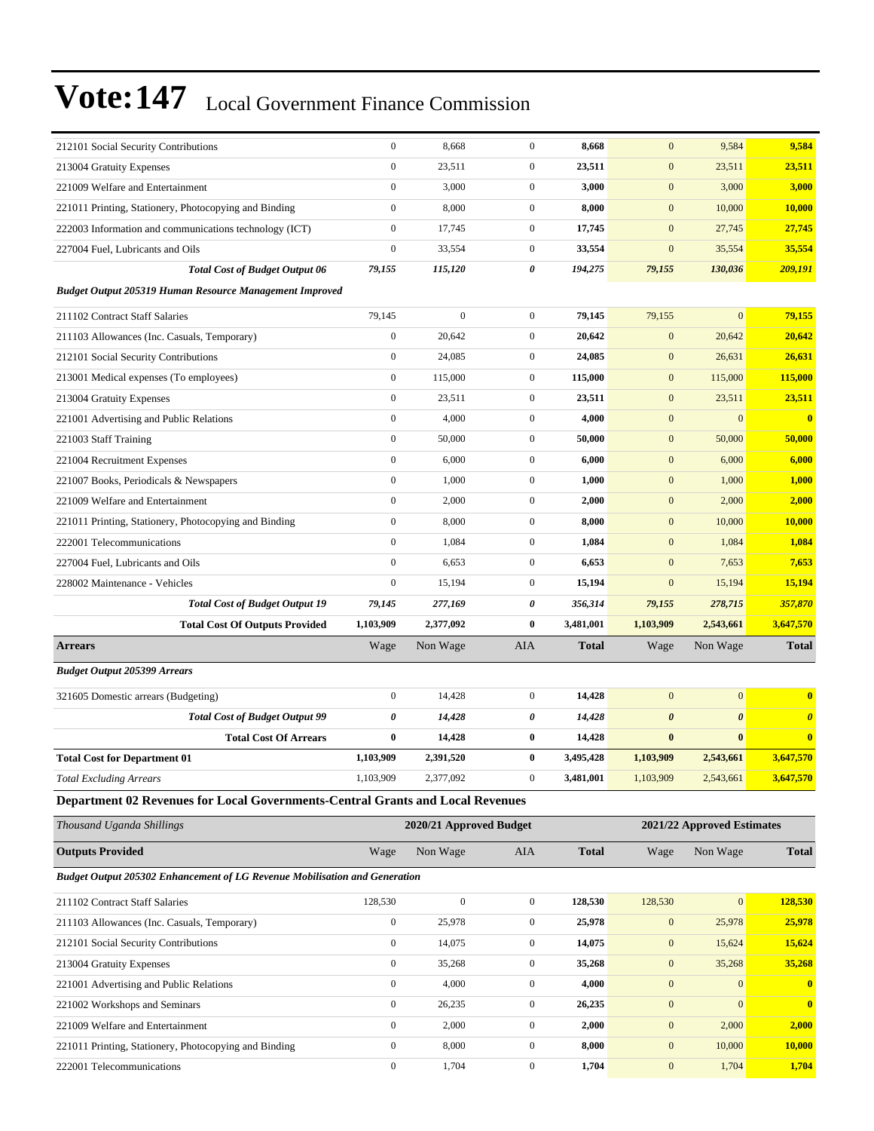| $\boldsymbol{0}$<br>23,511<br>$\mathbf{0}$<br>23,511<br>$\mathbf{0}$<br>213004 Gratuity Expenses                                                                                    | 9,584<br>9,584                                 |
|-------------------------------------------------------------------------------------------------------------------------------------------------------------------------------------|------------------------------------------------|
|                                                                                                                                                                                     | 23,511<br>23,511                               |
| $\boldsymbol{0}$<br>221009 Welfare and Entertainment<br>3,000<br>$\mathbf{0}$<br>3,000<br>$\mathbf{0}$                                                                              | 3,000<br>3,000                                 |
| $\boldsymbol{0}$<br>$\overline{0}$<br>8,000<br>8,000<br>$\mathbf{0}$<br>221011 Printing, Stationery, Photocopying and Binding                                                       | 10,000<br>10,000                               |
| $\boldsymbol{0}$<br>17,745<br>$\mathbf{0}$<br>17,745<br>$\mathbf{0}$<br>222003 Information and communications technology (ICT)                                                      | 27,745<br>27,745                               |
| $\boldsymbol{0}$<br>227004 Fuel, Lubricants and Oils<br>33,554<br>$\mathbf{0}$<br>33,554<br>$\mathbf{0}$                                                                            | 35,554<br>35,554                               |
| 79,155<br>115,120<br>0<br>194,275<br>79,155<br><b>Total Cost of Budget Output 06</b>                                                                                                | 130,036<br>209,191                             |
| <b>Budget Output 205319 Human Resource Management Improved</b>                                                                                                                      |                                                |
| $\boldsymbol{0}$<br>$\overline{0}$<br>211102 Contract Staff Salaries<br>79,145<br>79,145<br>79,155                                                                                  | $\mathbf{0}$<br>79,155                         |
| $\boldsymbol{0}$<br>$\overline{0}$<br>$\mathbf{0}$<br>20,642<br>20,642<br>211103 Allowances (Inc. Casuals, Temporary)                                                               | 20,642<br>20,642                               |
| $\boldsymbol{0}$<br>24,085<br>$\mathbf{0}$<br>24,085<br>$\mathbf{0}$<br>212101 Social Security Contributions                                                                        | 26,631<br>26,631                               |
| $\boldsymbol{0}$<br>115,000<br>$\mathbf{0}$<br>115,000<br>$\mathbf{0}$<br>213001 Medical expenses (To employees)                                                                    | 115,000<br>115,000                             |
| $\boldsymbol{0}$<br>$\overline{0}$<br>213004 Gratuity Expenses<br>23,511<br>23,511<br>$\mathbf{0}$                                                                                  | 23,511<br>23,511                               |
| $\boldsymbol{0}$<br>221001 Advertising and Public Relations<br>4,000<br>$\mathbf{0}$<br>4,000<br>$\mathbf{0}$                                                                       | $\mathbf{0}$<br>$\bf{0}$                       |
| $\boldsymbol{0}$<br>$\overline{0}$<br>50,000<br>50,000<br>$\mathbf{0}$<br>221003 Staff Training                                                                                     | 50,000<br>50,000                               |
| $\boldsymbol{0}$<br>6,000<br>$\mathbf{0}$<br>6,000<br>$\mathbf{0}$<br>221004 Recruitment Expenses                                                                                   | 6,000<br>6,000                                 |
| $\boldsymbol{0}$<br>221007 Books, Periodicals & Newspapers<br>1,000<br>$\mathbf{0}$<br>$\mathbf{0}$<br>1,000                                                                        | 1,000<br>1,000                                 |
| $\boldsymbol{0}$<br>$\overline{0}$<br>$\boldsymbol{0}$<br>221009 Welfare and Entertainment<br>2,000<br>2,000                                                                        | 2,000<br>2,000                                 |
| $\boldsymbol{0}$<br>221011 Printing, Stationery, Photocopying and Binding<br>8,000<br>$\mathbf{0}$<br>8,000<br>$\mathbf{0}$                                                         | 10,000<br>10,000                               |
| $\boldsymbol{0}$<br>1,084<br>$\mathbf{0}$<br>1,084<br>$\mathbf{0}$<br>222001 Telecommunications                                                                                     | 1,084<br>1,084                                 |
| $\boldsymbol{0}$<br>227004 Fuel, Lubricants and Oils<br>6,653<br>$\mathbf{0}$<br>6,653<br>$\mathbf{0}$                                                                              | 7,653<br>7,653                                 |
| $\boldsymbol{0}$<br>$\mathbf{0}$<br>228002 Maintenance - Vehicles<br>15,194<br>$\mathbf{0}$<br>15,194                                                                               | 15,194<br>15,194                               |
| 0<br><b>Total Cost of Budget Output 19</b><br>277,169<br>356,314<br>79,155<br>79,145                                                                                                | 278,715<br>357,870                             |
|                                                                                                                                                                                     |                                                |
| <b>Total Cost Of Outputs Provided</b><br>1,103,909<br>2,377,092<br>$\bf{0}$<br>3,481,001<br>1,103,909                                                                               | 3,647,570<br>2,543,661                         |
| Non Wage<br>AIA<br><b>Total</b><br>Wage<br>Wage<br><b>Arrears</b>                                                                                                                   | <b>Total</b><br>Non Wage                       |
| <b>Budget Output 205399 Arrears</b>                                                                                                                                                 |                                                |
| $\boldsymbol{0}$<br>$\mathbf{0}$<br>14,428<br>$\mathbf{0}$<br>14,428<br>321605 Domestic arrears (Budgeting)                                                                         | $\mathbf{0}$<br>$\bf{0}$                       |
| <b>Total Cost of Budget Output 99</b><br>0<br>14,428<br>0<br>14,428<br>$\boldsymbol{\theta}$                                                                                        | $\boldsymbol{\theta}$<br>$\boldsymbol{\theta}$ |
| <b>Total Cost Of Arrears</b><br>$\bf{0}$<br>14,428<br>$\bf{0}$<br>14,428<br>$\bf{0}$                                                                                                | $\bf{0}$<br>$\overline{\mathbf{0}}$            |
| $\bf{0}$<br><b>Total Cost for Department 01</b><br>1,103,909<br>2,391,520<br>3,495,428<br>1,103,909                                                                                 | 3,647,570<br>2,543,661                         |
| <b>Total Excluding Arrears</b><br>1,103,909<br>2,377,092<br>0<br>3,481,001<br>1,103,909                                                                                             | 2,543,661<br>3,647,570                         |
| Department 02 Revenues for Local Governments-Central Grants and Local Revenues                                                                                                      |                                                |
| Thousand Uganda Shillings<br>2020/21 Approved Budget                                                                                                                                | 2021/22 Approved Estimates                     |
| <b>Outputs Provided</b><br>Non Wage<br>AIA<br><b>Total</b><br>Wage<br>Wage                                                                                                          | <b>Total</b><br>Non Wage                       |
| <b>Budget Output 205302 Enhancement of LG Revenue Mobilisation and Generation</b>                                                                                                   |                                                |
| $\boldsymbol{0}$<br>$\mathbf{0}$<br>128,530<br>128,530<br>128,530                                                                                                                   | $\mathbf{0}$<br>128,530                        |
| 211102 Contract Staff Salaries<br>$\boldsymbol{0}$<br>25,978<br>25,978<br>$\boldsymbol{0}$                                                                                          | 25,978<br>25,978                               |
| $\boldsymbol{0}$<br>211103 Allowances (Inc. Casuals, Temporary)<br>$\boldsymbol{0}$<br>14,075<br>$\boldsymbol{0}$<br>14,075<br>$\mathbf{0}$<br>212101 Social Security Contributions | 15,624<br>15,624                               |
| $\boldsymbol{0}$<br>$\boldsymbol{0}$<br>35,268<br>$\boldsymbol{0}$<br>213004 Gratuity Expenses<br>35,268                                                                            | 35,268<br>35,268                               |
| $\boldsymbol{0}$<br>4,000<br>$\boldsymbol{0}$<br>4,000<br>$\boldsymbol{0}$<br>221001 Advertising and Public Relations                                                               | $\mathbf{0}$<br>$\mathbf{0}$                   |
| $\boldsymbol{0}$<br>$\boldsymbol{0}$<br>$\boldsymbol{0}$<br>26,235<br>221002 Workshops and Seminars<br>26,235                                                                       | $\mathbf{0}$<br>$\bf{0}$                       |
| $\boldsymbol{0}$<br>221009 Welfare and Entertainment<br>2,000<br>$\boldsymbol{0}$<br>2,000<br>$\boldsymbol{0}$                                                                      | 2,000<br>2,000                                 |
| $\boldsymbol{0}$<br>8,000<br>$\mathbf{0}$<br>8,000<br>$\mathbf{0}$<br>221011 Printing, Stationery, Photocopying and Binding                                                         | 10,000<br>10,000                               |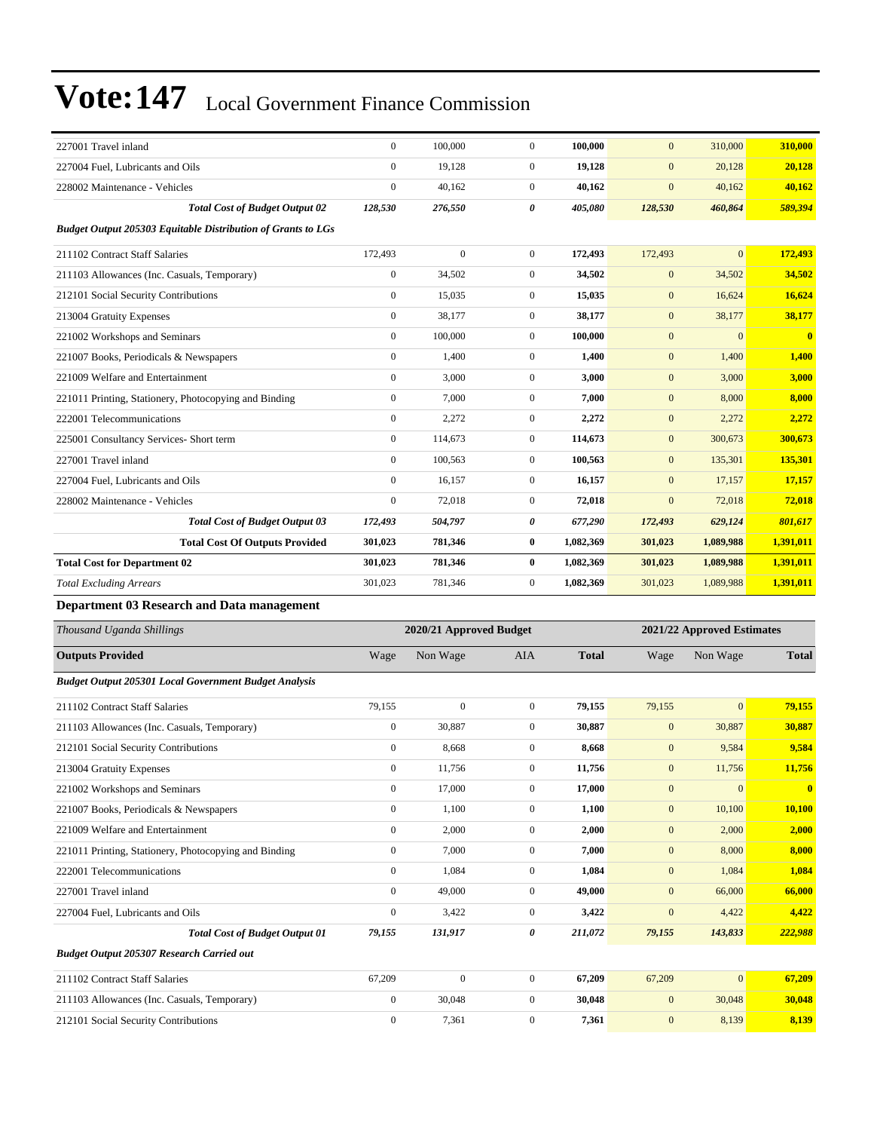| 227001 Travel inland                                                | $\boldsymbol{0}$ | 100,000                 | $\boldsymbol{0}$ | 100.000      | $\mathbf{0}$     | 310,000                    | 310,000       |
|---------------------------------------------------------------------|------------------|-------------------------|------------------|--------------|------------------|----------------------------|---------------|
| 227004 Fuel, Lubricants and Oils                                    | $\boldsymbol{0}$ | 19,128                  | $\boldsymbol{0}$ | 19,128       | $\mathbf{0}$     | 20,128                     | 20,128        |
| 228002 Maintenance - Vehicles                                       | $\mathbf{0}$     | 40,162                  | $\boldsymbol{0}$ | 40,162       | $\mathbf{0}$     | 40,162                     | 40,162        |
| <b>Total Cost of Budget Output 02</b>                               | 128,530          | 276,550                 | 0                | 405,080      | 128,530          | 460,864                    | 589,394       |
| <b>Budget Output 205303 Equitable Distribution of Grants to LGs</b> |                  |                         |                  |              |                  |                            |               |
| 211102 Contract Staff Salaries                                      | 172,493          | $\boldsymbol{0}$        | $\boldsymbol{0}$ | 172,493      | 172,493          | $\overline{0}$             | 172,493       |
| 211103 Allowances (Inc. Casuals, Temporary)                         | $\boldsymbol{0}$ | 34,502                  | $\boldsymbol{0}$ | 34,502       | $\mathbf{0}$     | 34,502                     | 34,502        |
| 212101 Social Security Contributions                                | $\mathbf{0}$     | 15,035                  | $\boldsymbol{0}$ | 15,035       | $\boldsymbol{0}$ | 16,624                     | 16,624        |
| 213004 Gratuity Expenses                                            | $\mathbf{0}$     | 38,177                  | $\boldsymbol{0}$ | 38,177       | $\mathbf{0}$     | 38,177                     | 38,177        |
| 221002 Workshops and Seminars                                       | $\mathbf{0}$     | 100,000                 | $\boldsymbol{0}$ | 100,000      | $\mathbf{0}$     | $\mathbf{0}$               | $\bf{0}$      |
| 221007 Books, Periodicals & Newspapers                              | $\mathbf{0}$     | 1,400                   | $\boldsymbol{0}$ | 1,400        | $\mathbf{0}$     | 1,400                      | 1,400         |
| 221009 Welfare and Entertainment                                    | $\mathbf{0}$     | 3,000                   | $\boldsymbol{0}$ | 3,000        | $\mathbf{0}$     | 3,000                      | 3,000         |
| 221011 Printing, Stationery, Photocopying and Binding               | $\boldsymbol{0}$ | 7,000                   | $\boldsymbol{0}$ | 7,000        | $\boldsymbol{0}$ | 8,000                      | 8,000         |
| 222001 Telecommunications                                           | $\mathbf{0}$     | 2,272                   | $\boldsymbol{0}$ | 2,272        | $\mathbf{0}$     | 2,272                      | 2,272         |
| 225001 Consultancy Services- Short term                             | $\mathbf{0}$     | 114,673                 | $\boldsymbol{0}$ | 114,673      | $\mathbf{0}$     | 300,673                    | 300,673       |
| 227001 Travel inland                                                | $\theta$         | 100,563                 | $\boldsymbol{0}$ | 100,563      | $\mathbf{0}$     | 135,301                    | 135,301       |
| 227004 Fuel, Lubricants and Oils                                    | $\mathbf{0}$     | 16,157                  | $\boldsymbol{0}$ | 16,157       | $\mathbf{0}$     | 17,157                     | 17,157        |
| 228002 Maintenance - Vehicles                                       | $\boldsymbol{0}$ | 72,018                  | $\boldsymbol{0}$ | 72,018       | $\mathbf{0}$     | 72,018                     | 72,018        |
| <b>Total Cost of Budget Output 03</b>                               | 172,493          | 504,797                 | 0                | 677,290      | 172,493          | 629,124                    | 801,617       |
| <b>Total Cost Of Outputs Provided</b>                               | 301,023          | 781,346                 | $\bf{0}$         | 1,082,369    | 301,023          | 1,089,988                  | 1,391,011     |
| <b>Total Cost for Department 02</b>                                 | 301,023          | 781,346                 | 0                | 1,082,369    | 301,023          | 1,089,988                  | 1,391,011     |
|                                                                     |                  |                         |                  |              |                  |                            |               |
| <b>Total Excluding Arrears</b>                                      | 301,023          | 781,346                 | $\boldsymbol{0}$ | 1,082,369    | 301,023          | 1,089,988                  | 1,391,011     |
| Department 03 Research and Data management                          |                  |                         |                  |              |                  |                            |               |
| Thousand Uganda Shillings                                           |                  | 2020/21 Approved Budget |                  |              |                  | 2021/22 Approved Estimates |               |
| <b>Outputs Provided</b>                                             | Wage             | Non Wage                | AIA              | <b>Total</b> | Wage             | Non Wage                   | <b>Total</b>  |
| <b>Budget Output 205301 Local Government Budget Analysis</b>        |                  |                         |                  |              |                  |                            |               |
| 211102 Contract Staff Salaries                                      | 79,155           | $\boldsymbol{0}$        | $\boldsymbol{0}$ | 79,155       | 79,155           | $\mathbf{0}$               | 79,155        |
| 211103 Allowances (Inc. Casuals, Temporary)                         | $\boldsymbol{0}$ | 30,887                  | $\boldsymbol{0}$ | 30,887       | $\mathbf{0}$     | 30,887                     | 30,887        |
| 212101 Social Security Contributions                                | $\mathbf{0}$     | 8,668                   | $\boldsymbol{0}$ | 8,668        | $\mathbf{0}$     | 9,584                      | 9,584         |
| 213004 Gratuity Expenses                                            | 0                | 11,756                  | 0                | 11,756       | $\mathbf{0}$     | 11,756                     | <b>11,756</b> |
| 221002 Workshops and Seminars                                       | $\mathbf{0}$     | 17,000                  | $\boldsymbol{0}$ | 17,000       | $\mathbf{0}$     | $\mathbf{0}$               | $\bf{0}$      |
| 221007 Books, Periodicals & Newspapers                              | $\boldsymbol{0}$ | 1,100                   | $\overline{0}$   | 1,100        | $\boldsymbol{0}$ | 10,100                     | 10,100        |
| 221009 Welfare and Entertainment                                    | $\boldsymbol{0}$ | 2,000                   | $\boldsymbol{0}$ | 2,000        | $\boldsymbol{0}$ | 2,000                      | 2,000         |
| 221011 Printing, Stationery, Photocopying and Binding               | $\mathbf{0}$     | 7,000                   | $\boldsymbol{0}$ | 7,000        | $\boldsymbol{0}$ | 8,000                      | 8,000         |
| 222001 Telecommunications                                           | $\boldsymbol{0}$ | 1,084                   | $\boldsymbol{0}$ | 1,084        | $\boldsymbol{0}$ | 1,084                      | 1,084         |
| 227001 Travel inland                                                | $\mathbf{0}$     | 49,000                  | 0                | 49,000       | $\boldsymbol{0}$ | 66,000                     | 66,000        |
| 227004 Fuel, Lubricants and Oils                                    | $\boldsymbol{0}$ | 3,422                   | 0                | 3,422        | $\mathbf{0}$     | 4,422                      | 4,422         |
| <b>Total Cost of Budget Output 01</b>                               | 79,155           | 131,917                 | 0                | 211,072      | 79,155           | 143,833                    | 222,988       |
| Budget Output 205307 Research Carried out                           |                  |                         |                  |              |                  |                            |               |
| 211102 Contract Staff Salaries                                      | 67,209           | $\mathbf{0}$            | $\boldsymbol{0}$ | 67,209       | 67,209           | $\overline{0}$             | 67,209        |
| 211103 Allowances (Inc. Casuals, Temporary)                         | $\boldsymbol{0}$ | 30,048                  | $\boldsymbol{0}$ | 30,048       | $\boldsymbol{0}$ | 30,048                     | 30,048        |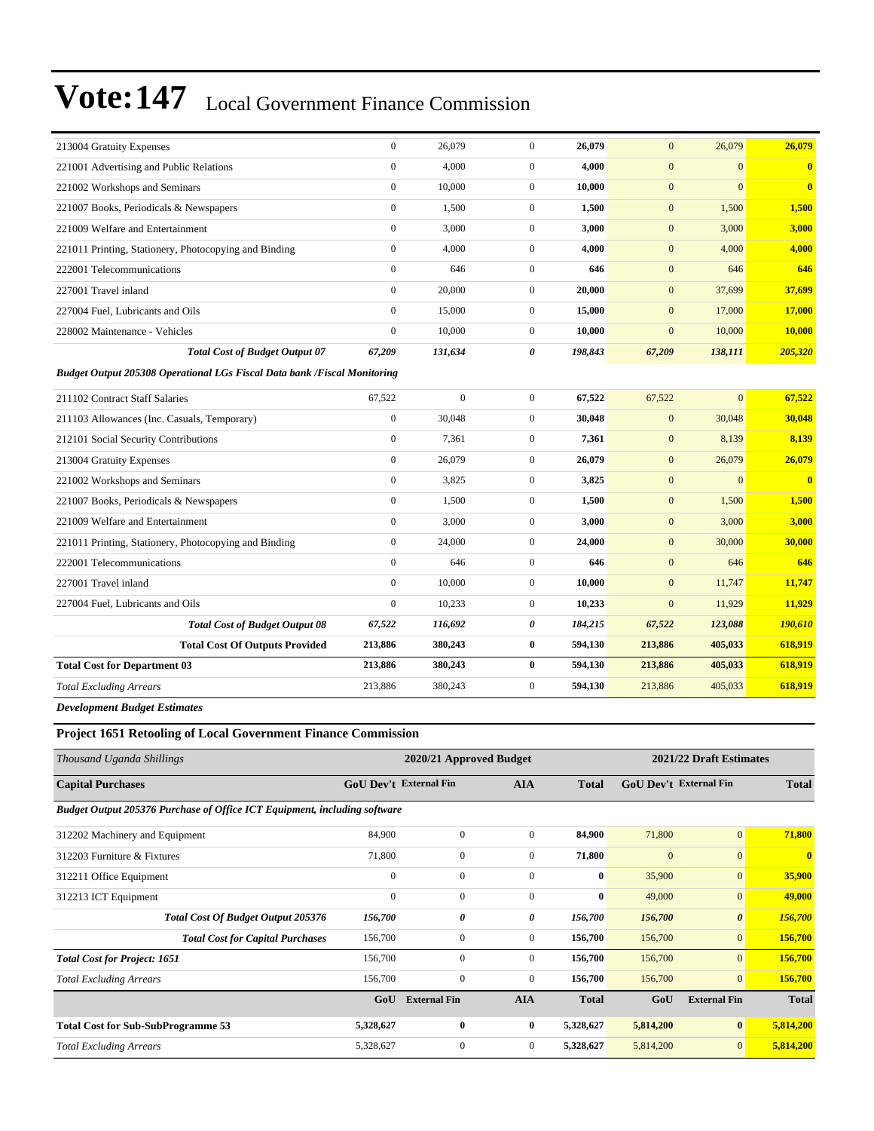| 213004 Gratuity Expenses                                                 | $\overline{0}$   | 26,079         | $\overline{0}$ | 26,079  | $\mathbf{0}$ | 26,079       | 26,079   |  |  |
|--------------------------------------------------------------------------|------------------|----------------|----------------|---------|--------------|--------------|----------|--|--|
| 221001 Advertising and Public Relations                                  | $\mathbf{0}$     | 4,000          | $\overline{0}$ | 4,000   | $\mathbf{0}$ | $\mathbf{0}$ | $\bf{0}$ |  |  |
| 221002 Workshops and Seminars                                            | $\mathbf{0}$     | 10,000         | $\mathbf{0}$   | 10,000  | $\mathbf{0}$ | $\mathbf{0}$ | $\bf{0}$ |  |  |
| 221007 Books, Periodicals & Newspapers                                   | $\overline{0}$   | 1,500          | $\overline{0}$ | 1,500   | $\mathbf{0}$ | 1,500        | 1,500    |  |  |
| 221009 Welfare and Entertainment                                         | $\overline{0}$   | 3,000          | $\overline{0}$ | 3,000   | $\mathbf{0}$ | 3,000        | 3,000    |  |  |
| 221011 Printing, Stationery, Photocopying and Binding                    | $\overline{0}$   | 4,000          | $\overline{0}$ | 4,000   | $\mathbf{0}$ | 4,000        | 4,000    |  |  |
| 222001 Telecommunications                                                | $\overline{0}$   | 646            | $\overline{0}$ | 646     | $\mathbf{0}$ | 646          | 646      |  |  |
| 227001 Travel inland                                                     | $\boldsymbol{0}$ | 20,000         | $\mathbf{0}$   | 20,000  | $\mathbf{0}$ | 37,699       | 37,699   |  |  |
| 227004 Fuel, Lubricants and Oils                                         | $\overline{0}$   | 15,000         | $\mathbf{0}$   | 15,000  | $\mathbf{0}$ | 17,000       | 17,000   |  |  |
| 228002 Maintenance - Vehicles                                            | $\mathbf{0}$     | 10,000         | $\overline{0}$ | 10,000  | $\mathbf{0}$ | 10,000       | 10,000   |  |  |
| <b>Total Cost of Budget Output 07</b>                                    | 67,209           | 131,634        | 0              | 198,843 | 67,209       | 138,111      | 205,320  |  |  |
| Budget Output 205308 Operational LGs Fiscal Data bank /Fiscal Monitoring |                  |                |                |         |              |              |          |  |  |
| 211102 Contract Staff Salaries                                           | 67,522           | $\overline{0}$ | $\mathbf{0}$   | 67,522  | 67,522       | $\mathbf{0}$ | 67,522   |  |  |
| 211103 Allowances (Inc. Casuals, Temporary)                              | $\mathbf{0}$     | 30,048         | $\overline{0}$ | 30,048  | $\mathbf{0}$ | 30,048       | 30,048   |  |  |
| 212101 Social Security Contributions                                     | $\boldsymbol{0}$ | 7,361          | $\mathbf{0}$   | 7,361   | $\mathbf{0}$ | 8,139        | 8,139    |  |  |
| 213004 Gratuity Expenses                                                 | $\boldsymbol{0}$ | 26,079         | $\mathbf{0}$   | 26,079  | $\mathbf{0}$ | 26,079       | 26,079   |  |  |
| 221002 Workshops and Seminars                                            | $\overline{0}$   | 3,825          | $\mathbf{0}$   | 3,825   | $\mathbf{0}$ | $\mathbf{0}$ | $\bf{0}$ |  |  |
| 221007 Books, Periodicals & Newspapers                                   | $\overline{0}$   | 1,500          | $\overline{0}$ | 1,500   | $\mathbf{0}$ | 1,500        | 1,500    |  |  |
| 221009 Welfare and Entertainment                                         | $\overline{0}$   | 3,000          | $\mathbf{0}$   | 3,000   | $\mathbf{0}$ | 3,000        | 3,000    |  |  |
| 221011 Printing, Stationery, Photocopying and Binding                    | $\overline{0}$   | 24,000         | $\overline{0}$ | 24,000  | $\mathbf{0}$ | 30,000       | 30,000   |  |  |
| 222001 Telecommunications                                                | $\mathbf{0}$     | 646            | $\overline{0}$ | 646     | $\mathbf{0}$ | 646          | 646      |  |  |
| 227001 Travel inland                                                     | $\overline{0}$   | 10,000         | $\mathbf{0}$   | 10,000  | $\mathbf{0}$ | 11,747       | 11,747   |  |  |
| 227004 Fuel, Lubricants and Oils                                         | $\mathbf{0}$     | 10,233         | $\overline{0}$ | 10,233  | $\mathbf{0}$ | 11,929       | 11,929   |  |  |
| <b>Total Cost of Budget Output 08</b>                                    | 67,522           | 116,692        | 0              | 184,215 | 67,522       | 123,088      | 190,610  |  |  |
| <b>Total Cost Of Outputs Provided</b>                                    | 213,886          | 380,243        | $\bf{0}$       | 594,130 | 213,886      | 405,033      | 618,919  |  |  |
| <b>Total Cost for Department 03</b>                                      | 213,886          | 380,243        | $\bf{0}$       | 594,130 | 213,886      | 405,033      | 618,919  |  |  |
| <b>Total Excluding Arrears</b>                                           | 213,886          | 380,243        | $\mathbf{0}$   | 594,130 | 213,886      | 405,033      | 618,919  |  |  |
| <b>Development Budget Estimates</b>                                      |                  |                |                |         |              |              |          |  |  |

#### **Project 1651 Retooling of Local Government Finance Commission**

| Thousand Uganda Shillings                                                 |                               | 2020/21 Approved Budget |                | 2021/22 Draft Estimates |                               |                       |              |
|---------------------------------------------------------------------------|-------------------------------|-------------------------|----------------|-------------------------|-------------------------------|-----------------------|--------------|
| <b>Capital Purchases</b>                                                  | <b>GoU Dev't External Fin</b> |                         | <b>AIA</b>     | <b>Total</b>            | <b>GoU Dev't External Fin</b> |                       | <b>Total</b> |
| Budget Output 205376 Purchase of Office ICT Equipment, including software |                               |                         |                |                         |                               |                       |              |
| 312202 Machinery and Equipment                                            | 84,900                        | $\overline{0}$          | $\overline{0}$ | 84,900                  | 71,800                        | $\mathbf{0}$          | 71,800       |
| 312203 Furniture & Fixtures                                               | 71,800                        | $\mathbf{0}$            | $\overline{0}$ | 71,800                  | $\mathbf{0}$                  | $\mathbf{0}$          | $\mathbf{0}$ |
| 312211 Office Equipment                                                   | $\mathbf{0}$                  | $\mathbf{0}$            | $\mathbf{0}$   | $\bf{0}$                | 35,900                        | $\mathbf{0}$          | 35,900       |
| 312213 ICT Equipment                                                      | $\mathbf{0}$                  | $\mathbf{0}$            | $\mathbf{0}$   | $\bf{0}$                | 49,000                        | $\mathbf{0}$          | 49,000       |
| <b>Total Cost Of Budget Output 205376</b>                                 | 156,700                       | 0                       | 0              | 156,700                 | 156,700                       | $\boldsymbol{\theta}$ | 156,700      |
| <b>Total Cost for Capital Purchases</b>                                   | 156,700                       | $\boldsymbol{0}$        | $\overline{0}$ | 156,700                 | 156,700                       | $\mathbf{0}$          | 156,700      |
| <b>Total Cost for Project: 1651</b>                                       | 156,700                       | $\mathbf{0}$            | $\overline{0}$ | 156,700                 | 156,700                       | $\mathbf{0}$          | 156,700      |
| <b>Total Excluding Arrears</b>                                            | 156,700                       | $\mathbf{0}$            | $\overline{0}$ | 156,700                 | 156,700                       | $\mathbf{0}$          | 156,700      |
|                                                                           | GoU                           | <b>External Fin</b>     | <b>AIA</b>     | <b>Total</b>            | GoU                           | <b>External Fin</b>   | <b>Total</b> |
| <b>Total Cost for Sub-SubProgramme 53</b>                                 | 5,328,627                     | $\bf{0}$                | $\bf{0}$       | 5,328,627               | 5,814,200                     | $\bf{0}$              | 5,814,200    |
| <b>Total Excluding Arrears</b>                                            | 5,328,627                     | $\mathbf{0}$            | $\overline{0}$ | 5,328,627               | 5,814,200                     | $\mathbf{0}$          | 5,814,200    |